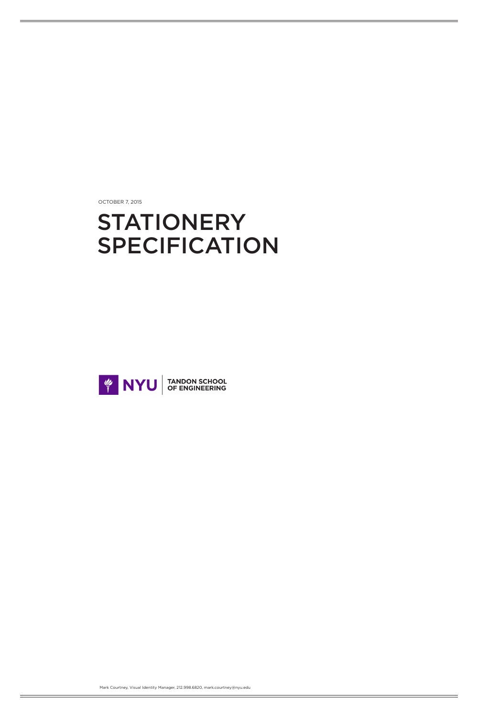OCTOBER 7, 2015

# STATIONERY SPECIFICATION



Mark Courtney, Visual Identity Manager, 212.998.6820, mark.courtney@nyu.edu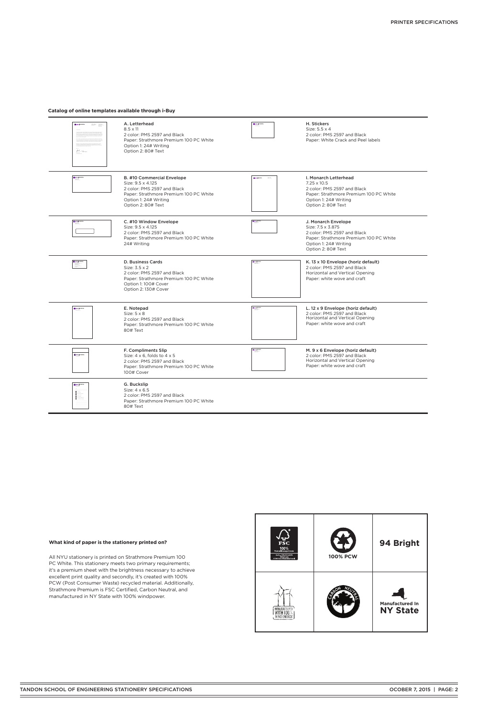## **What kind of paper is the stationery printed on?**

All NYU stationery is printed on Strathmore Premium 100 PC White. This stationery meets two primary requirements; it's a premium sheet with the brightness necessary to achieve excellent print quality and secondly, it's created with 100% PCW (Post Consumer Waste) recycled material. Additionally, Strathmore Premium is FSC Certified, Carbon Neutral, and manufactured in NY State with 100% windpower.



| <b>NYU</b> SCHOOL<br>$\begin{array}{l} \displaystyle \frac{\partial \lambda \log \log \log \lambda}{\partial \lambda} \\ \displaystyle \frac{\partial \lambda \log \log \log \lambda}{\partial \lambda} \\ \displaystyle \frac{\partial \lambda \log \log \log \lambda}{\partial \lambda} \end{array}$<br>$\underline{\mu}_{\mathcal{P}}$ | A. Letterhead<br>$8.5 \times 11$<br>2 color: PMS 2597 and Black<br>Paper: Strathmore Premium 100 PC White<br>Option 1: 24# Writing<br>Option 2: 80# Text                       | <b>El MYU SCHOOL</b>                                                                          | H. Stickers<br>Size: 5.5 x 4<br>2 color: PMS 2597 and Black<br>Paper: White Crack and Peel labels                                                                   |
|-------------------------------------------------------------------------------------------------------------------------------------------------------------------------------------------------------------------------------------------------------------------------------------------------------------------------------------------|--------------------------------------------------------------------------------------------------------------------------------------------------------------------------------|-----------------------------------------------------------------------------------------------|---------------------------------------------------------------------------------------------------------------------------------------------------------------------|
| $\begin{tabular}{ c c } \hline \textbf{G} & \textbf{N} \textbf{Y} \textbf{U} & \textbf{S} \textbf{C} \textbf{H} \textbf{O} \textbf{O} \textbf{I}, \\ \hline \textbf{G} & \textbf{G} \textbf{A} \textbf{I} & \textbf{B} \textbf{I} \textbf{I} \end{tabular}$                                                                               | <b>B. #10 Commercial Envelope</b><br>Size: 9.5 x 4.125<br>2 color: PMS 2597 and Black<br>Paper: Strathmore Premium 100 PC White<br>Option 1: 24# Writing<br>Option 2: 80# Text | <b>П</b> мурскоец<br>$\frac{1}{2}$                                                            | I. Monarch Letterhead<br>$7.25 \times 10.5$<br>2 color: PMS 2597 and Black<br>Paper: Strathmore Premium 100 PC White<br>Option 1: 24# Writing<br>Option 2: 80# Text |
| <b>E</b> NYU SCHOOL                                                                                                                                                                                                                                                                                                                       | C. #10 Window Envelope<br>Size: 9.5 x 4.125<br>2 color: PMS 2597 and Black<br>Paper: Strathmore Premium 100 PC White<br>24# Writing                                            | $\frac{1}{2}$ kruhovos.                                                                       | J. Monarch Envelope<br>Size: 7.5 x 3.875<br>2 color: PMS 2597 and Black<br>Paper: Strathmore Premium 100 PC White<br>Option 1: 24# Writing<br>Option 2: 80# Text    |
| <b>El</b> NYU SCHOOL                                                                                                                                                                                                                                                                                                                      | D. Business Cards<br>Size: 3.5 x 2<br>2 color: PMS 2597 and Black<br>Paper: Strathmore Premium 100 PC White<br>Option 1: 100# Cover<br>Option 2: 130# Cover                    | $\begin{array}{c} \hline \text{subject to} \end{array}$                                       | K. 13 x 10 Envelope (horiz default)<br>2 color: PMS 2597 and Black<br>Horizontal and Vertical Opening<br>Paper: white wove and craft                                |
| <b>NYU SCHOOL</b>                                                                                                                                                                                                                                                                                                                         | E. Notepad<br>Size: $5 \times 8$<br>2 color: PMS 2597 and Black<br>Paper: Strathmore Premium 100 PC White<br>80# Text                                                          | $\begin{array}{c}\n\hline\n\text{RW} \text{JGNOO} \text{ } & \text{ } \\ \hline\n\end{array}$ | L. 12 x 9 Envelope (horiz default)<br>2 color: PMS 2597 and Black<br>Horizontal and Vertical Opening<br>Paper: white wove and craft                                 |
| <b>NYV</b> SCHOOL                                                                                                                                                                                                                                                                                                                         | F. Compliments Slip<br>Size: $4 \times 6$ , folds to $4 \times 5$<br>2 color: PMS 2597 and Black<br>Paper: Strathmore Premium 100 PC White<br>100# Cover                       | $\begin{array}{c} \hbox{Minkowski} \\ \hbox{Minkowski} \end{array}$                           | M. 9 x 6 Envelope (horiz default)<br>2 color: PMS 2597 and Black<br>Horizontal and Vertical Opening<br>Paper: white wove and craft                                  |
| NYU SCHOOL                                                                                                                                                                                                                                                                                                                                | G. Buckslip<br>Size: 4 x 6.5<br>2 color: PMS 2597 and Black<br>Paper: Strathmore Premium 100 PC White<br>80# Text                                                              |                                                                                               |                                                                                                                                                                     |

## **Catalog of online templates available through i-Buy**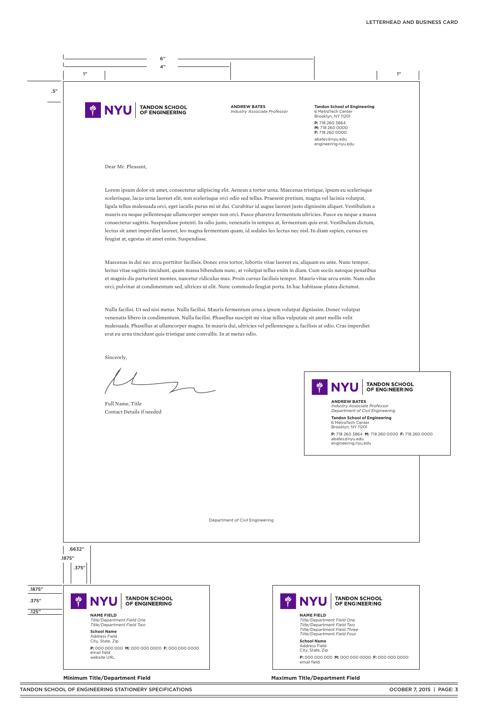

#### **Minimum Title/Department Field Maximum Title/Department Field**



**P:** 718 260 3864 **M:** 718 260 0000 **F:** 718 260 0000 abates@nyu.edu engineering.nyu.edu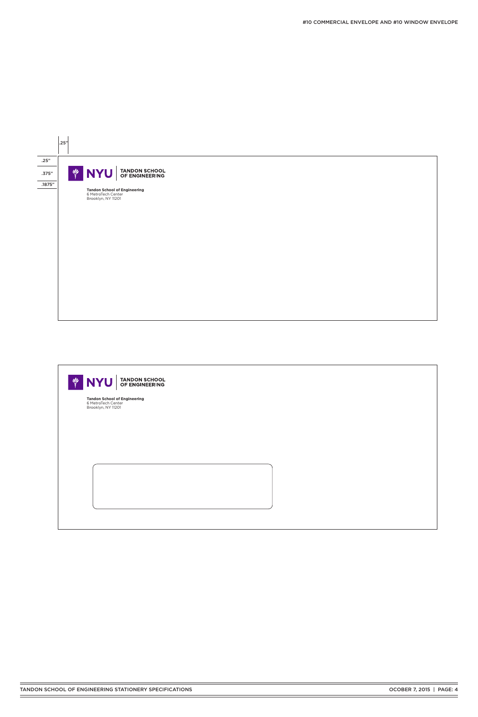

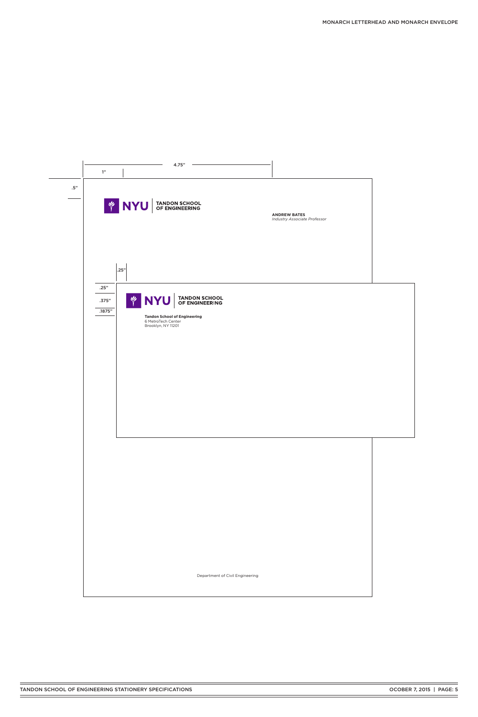|        |                         | 4.75"                                                                                                                    |                                                     |  |
|--------|-------------------------|--------------------------------------------------------------------------------------------------------------------------|-----------------------------------------------------|--|
|        | $1"$                    |                                                                                                                          |                                                     |  |
| $.5\%$ |                         |                                                                                                                          |                                                     |  |
|        |                         | <b>EXAMPLE TANDON SCHOOL</b>                                                                                             | <b>ANDREW BATES</b><br>Industry Associate Professor |  |
|        | .25"                    |                                                                                                                          |                                                     |  |
|        | .25"<br>.375"<br>.1875" | <b>EXAMPLE AND SOLUT ANDON SCHOOL</b><br><b>Tandon School of Engineering</b><br>6 MetroTech Center<br>Brooklyn, NY 11201 |                                                     |  |
|        |                         |                                                                                                                          |                                                     |  |
|        |                         |                                                                                                                          |                                                     |  |
|        |                         |                                                                                                                          |                                                     |  |

Department of Civil Engineering

TANDON SCHOOL OF ENGINEERING STATIONERY SPECIFICATIONS **CODER 7, 2015 | PAGE: 5**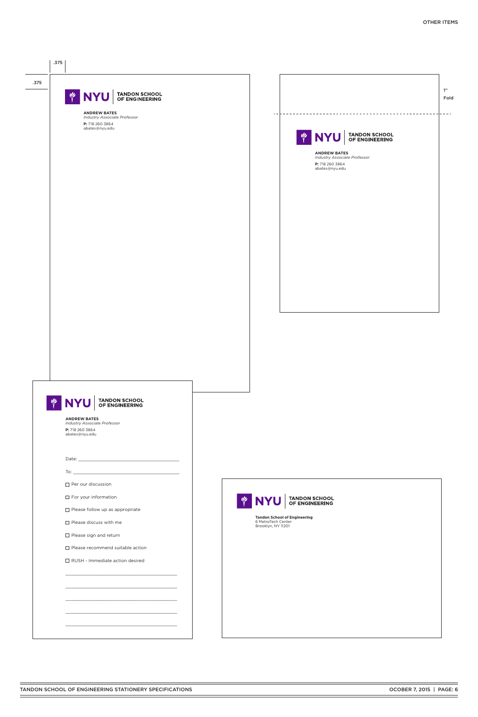

| $\Box$ For your information             | <b>U</b> | NYU TANDON SCHOOL                                                               |
|-----------------------------------------|----------|---------------------------------------------------------------------------------|
| $\Box$ Please follow up as appropriate  |          |                                                                                 |
| $\Box$ Please discuss with me           |          | <b>Tandon School of Engineering</b><br>6 MetroTech Center<br>Brooklyn, NY 11201 |
| $\Box$ Please sign and return           |          |                                                                                 |
| $\Box$ Please recommend suitable action |          |                                                                                 |
| $\Box$ RUSH - Immediate action desired  |          |                                                                                 |
|                                         |          |                                                                                 |
|                                         |          |                                                                                 |
|                                         |          |                                                                                 |
|                                         |          |                                                                                 |
|                                         |          |                                                                                 |
|                                         |          |                                                                                 |
|                                         |          |                                                                                 |